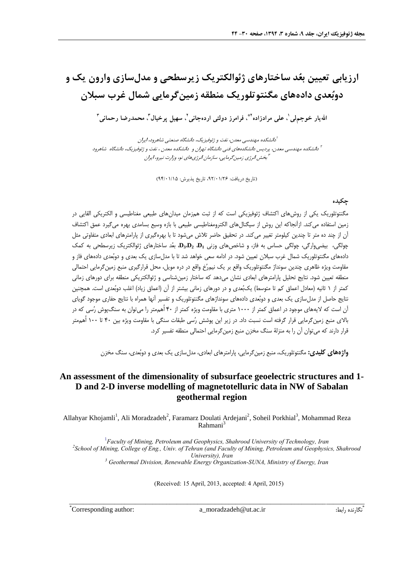# **ارزیابی تعیین بعُد ساختارهای ژئوالکتریک زیرسطحی و مدلسازی وارون یک و دوبُعدی دادههای مگنتوتلوریک منطقه زمینگرمایی شمال غرب سبالن**

الله یار خوجم|لی'، علی مرادزاده''ٌ، فرامرز دولتی اردهجانی'، سهیل پرخیال'، محمدرضا رحمانی'

1 دانشکده مهندسی معدن، نفت و ژئوفیزیک، دانشگاه صنعتی شاهرود، ایران 2 دانشکده مهندسی معدن، پردیس دانشکدههای فنی دانشگاه تهران و دانشکده معدن ، نفت و ژئوفیزیک، دانشگاه شاهرود 3 بخش انرژی زمینگرمایی، سازمان انرژیهای نو، وزارت نیرو، ایران

(تاریخ دریافت: ۹۲/۰۱/۲۶، تاریخ پذیرش: ۹۴/۰۱/۱۵)

#### **چكیده**

مگنتوتلوریک یکی از روشهای اکتشاف ژئوفیزیکی است که از ثبت همزمان میدانهای طبیعی مغناطیسی و الکتریکی القایی در زمین استفاده میکند. ازآنجاکه این روش از سیگنالهای الکترومغناطیسی طبیعی با بازه وسیع بسامدی بهره میگیرد عمق اکتشاف آن از چند ده متر تا چندین کیلومتر تغییر میکند. در تحقیق حاضر تالش میشود تا با بهرهگیری از پارامترهای ابعادی متفاوتی مثل **<sup>3</sup>D**، بعُد ساختارهای ژئوالکتریک زیرسطحی به کمک ،**D2** ،**D<sup>1</sup>** چولگی، بیضیوارگی، چولگی حساس به فاز، و شاخصهای وزنی دادههای مگنتوتلوریک شمال غرب سبالن تعیین شود. در ادامه سعی خواهد شد تا با مدلسازی یک بعدی و دوبُعدی دادههای فاز و مقاومت ویژه ظاهری چندین سونداژ مگنتوتلوریک واقع بر یک نیمرُخ واقع در دره مویل، محل قرارگیری منبع زمینگرمایی احتمالی منطقه تعیین شود. نتایج تحلیل پارامترهای ابعادی نشان میدهد که ساختار زمینشناسی و ژئوالکتریکی منطقه برای دورهای زمانی کمتر از ۱ ثانیه (معادل اعماق کم تا متوسط) یکبُعدی و در دورهای زمانی بیشتر از آن (اعماق زیاد) اغلب دوبُعدی است. همچنین نتایج حاصل از مدلسازی یک بعدی و دوبُعدی دادههای سونداژهای مگنتوتلوریک و تفسیر آنها همراه با نتایج حفاری موجود گویای آن است که الیههای موجود در اعماق کمتر از 1111 متری با مقاومت ویژه کمتر از 01 اُهممتر را میتوان به سنگپوش رُسی که در باالی منبع زمینگرمایی قرار گرفته است نسبت داد. در زیر این پوشش رُسی طبقات سنگی با مقاومت ویژه بین 01 تا 111 اُهممتر قرار دارند که میتوان آن را به منزلة سنگ مخزن منبع زمینگرمایی احتمالی منطقه تفسیر کرد.

**واژههايكليدي:** مگنتوتلوریک، منبع زمینگرمایی، پارامترهای ابعادی، مدلسازی یک بعدی و دوبُعدی، سنگ مخزن

### **An assessment of the dimensionality of subsurface geoelectric structures and 1- D and 2-D inverse modelling of magnetotelluric data in NW of Sabalan geothermal region**

Allahyar Khojamli<sup>1</sup>, Ali Moradzadeh<sup>2</sup>, Faramarz Doulati Ardejani<sup>2</sup>, Soheil Porkhial<sup>3</sup>, Mohammad Reza Rahmani<sup>3</sup>

 *Faculty of Mining, Petroleum and Geophysics, Shahrood University of Technology, Iran School of Mining, College of Eng., Univ. of Tehran (and Faculty of Mining, Petroleum and Geophysics, Shahrood University), Iran Geothermal Division, Renewable Energy Organization-SUNA, Ministry of Energy, Iran*

(Received: 15 April, 2013, accepted: 4 April, 2015)

\_\_\_\_\_\_\_\_\_\_\_\_\_\_\_\_\_\_\_\_\_\_\_\_\_\_\_\_\_\_\_\_\_\_\_\_\_\_\_\_\_\_\_\_\_\_\_\_\_\_\_\_\_\_\_\_\_\_\_\_\_\_\_\_\_\_\_\_\_\_\_\_\_\_\_\_\_\_\_\_\_\_\_\_\_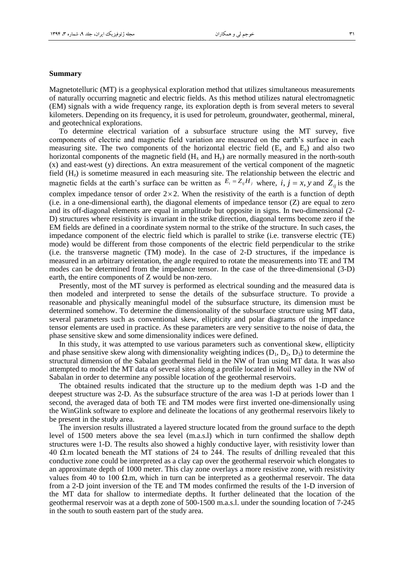#### **Summary**

Magnetotelluric (MT) is a geophysical exploration method that utilizes simultaneous measurements of naturally occurring magnetic and electric fields. As this method utilizes natural electromagnetic (EM) signals with a wide frequency range, its exploration depth is from several meters to several kilometers. Depending on its frequency, it is used for petroleum, groundwater, geothermal, mineral, and geotechnical explorations.

To determine electrical variation of a subsurface structure using the MT survey, five components of electric and magnetic field variation are measured on the earth's surface in each measuring site. The two components of the horizontal electric field  $(E_x \text{ and } E_y)$  and also two horizontal components of the magnetic field  $(H_x \text{ and } H_y)$  are normally measured in the north-south (x) and east-west (y) directions. An extra measurement of the vertical component of the magnetic field  $(H<sub>z</sub>)$  is sometime measured in each measuring site. The relationship between the electric and magnetic fields at the earth's surface can be written as  $E_i = Z_{ij}H_j$  where,  $i, j = x, y$  and  $Z_{ij}$  is the complex impedance tensor of order  $2 \times 2$ . When the resistivity of the earth is a function of depth  $(i.e.$  in a one-dimensional earth), the diagonal elements of impedance tensor  $(Z)$  are equal to zero and its off-diagonal elements are equal in amplitude but opposite in signs. In two-dimensional (2-

D) structures where resistivity is invariant in the strike direction, diagonal terms become zero if the EM fields are defined in a coordinate system normal to the strike of the structure. In such cases, the impedance component of the electric field which is parallel to strike (i.e. transverse electric (TE) mode) would be different from those components of the electric field perpendicular to the strike (i.e. the transverse magnetic (TM) mode). In the case of 2-D structures, if the impedance is measured in an arbitrary orientation, the angle required to rotate the measurements into TE and TM modes can be determined from the impedance tensor. In the case of the three-dimensional (3-D) earth, the entire components of Z would be non-zero.

Presently, most of the MT survey is performed as electrical sounding and the measured data is then modeled and interpreted to sense the details of the subsurface structure. To provide a reasonable and physically meaningful model of the subsurface structure, its dimension must be determined somehow. To determine the dimensionality of the subsurface structure using MT data, several parameters such as conventional skew, ellipticity and polar diagrams of the impedance tensor elements are used in practice. As these parameters are very sensitive to the noise of data, the phase sensitive skew and some dimensionality indices were defined.

In this study, it was attempted to use various parameters such as conventional skew, ellipticity and phase sensitive skew along with dimensionality weighting indices  $(D_1, D_2, D_3)$  to determine the structural dimension of the Sabalan geothermal field in the NW of Iran using MT data. It was also attempted to model the MT data of several sites along a profile located in Moil valley in the NW of Sabalan in order to determine any possible location of the geothermal reservoirs.

The obtained results indicated that the structure up to the medium depth was 1-D and the deepest structure was 2-D. As the subsurface structure of the area was 1-D at periods lower than 1 second, the averaged data of both TE and TM modes were first inverted one-dimensionally using the WinGlink software to explore and delineate the locations of any geothermal reservoirs likely to be present in the study area.

The inversion results illustrated a layered structure located from the ground surface to the depth level of 1500 meters above the sea level (m.a.s.l) which in turn confirmed the shallow depth structures were 1-D. The results also showed a highly conductive layer, with resistivity lower than 40 Ω.m located beneath the MT stations of 24 to 244. The results of drilling revealed that this conductive zone could be interpreted as a clay cap over the geothermal reservoir which elongates to an approximate depth of 1000 meter. This clay zone overlays a more resistive zone, with resistivity values from 40 to 100 Ω.m, which in turn can be interpreted as a geothermal reservoir. The data from a 2-D joint inversion of the TE and TM modes confirmed the results of the 1-D inversion of the MT data for shallow to intermediate depths. It further delineated that the location of the geothermal reservoir was at a depth zone of 500-1500 m.a.s.l. under the sounding location of 7-245 in the south to south eastern part of the study area.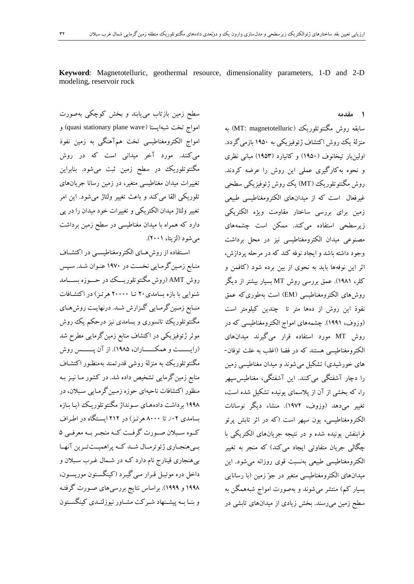**Keyword**: Magnetotelluric, geothermal resource, dimensionality parameters, 1-D and 2-D modeling, reservoir rock

سطح زمين بازتاب میيابند و بخش کوچکی بهصورت امواج تخت شبهايستا (quasi stationary plane wave) و امواج الکترومغناطيسی تخت همآهنگی به زمين نفوذ میکنند. مورد آخر ميدانی است که در روش مگنتوتلوريك در سطح زمين ثبت میشود. بنابراين تغييرات ميدان مغناطيسی متغير، در زمين رسانا جريانهای تلوريکی القا میکند و باعث تغيير ولتاژ میشود. اين امر تغيير ولتاژ ميدان الکتريکی و تغييرات خود ميدان را در پی دارد که همراه با ميدان مغناطيسی در سطح زمين برداشت میشود )لزيتا، 3113(.

استتتفاده از روشهتتای الکترومغناطيستتی در اکتشتتاف منـابع زمـين گرمـايي نخسـت در ١٩٧٠ عنـوان شـد. سـپس روش AMT( روش مگنتوتلوريتتتك در حتتتوزه بستتتامد شنوايی با بازه بسامدی31 تتا 31111 هرتتز ( در اکتشتافات منـابع زمـينگرمـايي گـزارش شـد. درنهايـت روشهـاي مگنتوتلوريك تانسوری و بسامدی نيز درحکم يك روش موثر ژئوفيزيکی در اکتشاف منابع زمين گرمايی مطرح شد )رايتتتتتتت و همکتتتتتتاران، 3999(. از آن پتتتتتتس روش مگنتوتلوريك به منزلة روشی قدرتمند بهمنظتور اکتشتاف منابع زمين گرمايی تشخيص داده شد. در کشور مـا نيـز بـه منظور اکتشافات ناحيهای حوزه زمتين گرمتايی ستبالن، در 3999 برداشت دادههتای ستونداژ مگنتوتلوريتك )بتا بتازه بسامدی ۰۲٪ تا ۸۰۰۰ هرتن ) در ۲۱۲ ایستگاه در اطراف کتوه ستبلان صتورت گرفت کته منجتر بته معرفتی ۵ بسي هنجتاري ژئوترمتال شتد كته پراهميتتترين آنهتا بیهنجاری قينارج نام دارد کته در شتمال غترب ستبالن و داخل دره موئيتل قترار متی گيترد )کينگستتون موريستون، 3999 و 3999(. براساس نتايج بررسیهای صتورت گرفتته و بنــا بــه پيشــنهاد شــرکت مشــاور نيوزلنــدی کينگســتون **1 مقدمه**

سابقه روش مگنتوتلوريك (MT: magnetotelluric) به منزلة يك روش اکتشاف ژئوفيزيکی به 3991 بازمیگردد. اولينبار تيخانوف )3991( و کانيارد )3991( مبانی نظری و نحوه بهکارگيری عملی اين روش را عرضه کردند. روش مگنتوتلوريك )MT )يك روش ژئوفيزيکی سطحی غيرفعال است که از ميدانهای الکترومغناطيسی طبيعی زمين برای بررسی ساختار مقاومت ويژه الکتريکی زيرسطحی استفاده میکند. ممکن است چشمههای مصنوعی ميدان الکترومغناطيسی نيز در محل برداشت وجود داشته باشد و ايجاد نوفه کند که در مرحله پردازش، اثر اين نوفهها بايد به نحوی از بين برده شود )کافمن و کلر، 3993(. عمق بررسی روش MT بسيار بيشتر از ديگر روشهای الکترومغناطيسی )EM )است بهطوریکه عمق نفوذ اين روش از دهها متر تا چندين کيلومتر است )وزوف، 3993(. چشمههای امواج الکترومغناطيسی که در روش MT مورد استفاده قرار میگيرند ميدانهای الکترومغناطيسی هستند که در فضا )اغلب به علت توفان- های خورشيدی) تشکيل می شوند و ميدان مغناطيسی زمين را دچار آشفتگی میکنند. اين آشفتگی، مغناطيسسپهر را، که بخشی از آن از پالسمای يونيده تشکيل شده است، تغيير میدهد )وزوف، 3993(. منشاء ديگر نوسانات الکترومغناطيسی، يون سپهر است )که در اثر تابش پرتو فرابنفش يونيده شده و در نتيجه جريانهای الکتريکی با چگالی جريان متفاوتی ايجاد میکند) که منجر به تغيير الکترومغناطيسی طبيعی بهنسبت قوی روزانه میشود. اين ميدانهای الکترومغناطيسی متغير در جوّ زمين )با رسانايی بسيار کم) منتشر می شوند و بهصورت امواج شبههمگن به سطح زمين میرسند. بخش زيادی از ميدانهای تابشی در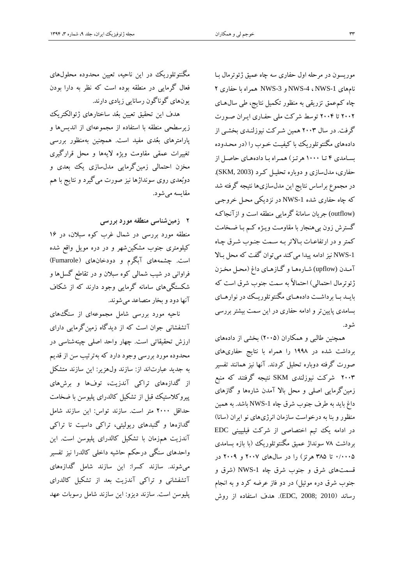موريسون در مرحله اول حفاری سه چاه عميق ژئوترمال بتا نامهای -1NWS ، -4NWS و -3NWS همراه با حفاری 3 چاه کمعمق تزريقی به منظور تکميل نتايج، طی سالهتای 3113 تا 3119 توسط شرکت ملی حفتاری ايتران صتورت گرفت. در سال 3111 همين شترکت نيوزلنتدی بخشتی از دادههای مگنتوتلوريك با کيفيتت ختوب را )در محتدوده بسامدی ۴ تا ۱۰۰۰ هرتز) همراه با دادههای حاصل از حفاری، مدلسازی و دوباره تحليتل کترد (2003 ,SKM(. در مجموع براساس نتايج اين مدلسازیها نتيجه گرفته شد که چاه حفاری شده NWS-1 در نزديکی محـل خروجـي (outflow (جريان سامانة گرمايی منطقه است و ازآنجاکته گسترش زون بیهنجار با مقاومتت ويتژه کتم بتا ضتخامت کمتر و در ارتفاعات بالاتر بـه سـمت جنـوب شـرق چـاه -1NWS نيز ادامه پيدا میکند میتوان گفت که محل بتات آمتدن (upflow (شتارههتا و گتازهتای داغ )محتل مختزن ژئوترمال احتمالی) احتمالاً به سمت جنوب شرق است که بايتتد بتتا برداشتتت داده هتتای مگنتوتلوريتتك در نوارهتتای بسامدی پايينتر و ادامه حفاری در اين سمت بيشتر بررسی شود.

همچنين طالبی و همکاران )3119( بخشی از دادههای برداشت شده در 3999 را همراه با نتايج حفاریهای صورت گرفته دوباره تحليل کردند. آنها نيز همانند تفسير 3111 شرکت نيوزلندی SKM نتيجه گرفتند که منب زمينگرمايی اصلی و محل بات آمدن شارهها و گازهای داغ بايد به طرف جنوب شر چاه -1NWS باشد. به همين منظور و بنا به درخواست سازمان انرژیهای نو ايران )سانا( در ادامه يك تيم اختصاصی از شرکت فيليپينی EDC برداشت 99 سونداژ عميق مگنتوتلوريك )با بازه بسامدی 1/1119 تا 199 هرتز( را در سالهای 3119 و 3119 در قسمتهای شرق و جنوب شرق چاه NWS-1 (شرق و جنوب شرق دره موئيل) در دو فاز عرضه کرد و به انجام رساند )<sup>2010</sup> ;2008 ,EDC). هدف استفاده از روش

مگنتوتلوريك در اين ناحيه، تعيين محدوده محلولهای فعال گرمايی در منطقه بوده است که نظر به دارا بودن يونهای گوناگون رسانايی زيادی دارند.

هدف اين تحقيق تعيين بعُد ساختارهای ژئوالکتريك زيرسطحی منطقه با استفاده از مجموعهای از انديسها و پارامترهای بعُدی مفيد است. همچنين بهمنظور بررسی تغييرات عمقی مقاومت ويژه تيهها و محل قرارگيری مخزن احتمالی زمينگرمايی مدلسازی يك بعدی و دوبُعدی روی سونداژها نيز صورت میگيرد و نتايج با هم مقايسه میشود.

3 **زمینشناسی منطقهموردبررسی**

منطقه مورد بررسی در شمال غرب کوه سبالن، در 31 کيلومتری جنوب مشکين شهر و در دره مويل واقع شده است. چشمههای آبگرم و دودخانهای )Fumarole ) فراوانی در شيب شمالی کوه سبالن و در تقاط گسلها و شکستگیهای سامانه گرمايی وجود دارند که از شکاف آنها دود و بخار متصاعد میشوند.

ناحيه مورد بررسی شامل مجموعهای از سنگهای آتشفشانی جوان است که از ديدگاه زمينگرمايی دارای ارزش تحقيقاتی است. چهار واحد اصلی چينهشناسی در محدوده مورد بررسی وجود دارد که بهترتيب سن از قديم به جديد عبارتاند از: سازند ولهزير: اين سازند متشکل از گدازههای تراکی آندزيت، توفها و برشهای پيروکالستيك قبل از تشکيل کالدرای پليوسن با ضخامت حداقل 3111 متر است. سازند تواس: اين سازند شامل گدازهها و گنبدهای ريوليتی، تراکی داسيت تا تراکی آندزيت همزمان با تشکيل کالدرای پليوسن است. اين واحدهای سنگی درحکم حاشيه داخلی کالدرا نيز تفسير میشوند. سازند کسرا: اين سازند شامل گدازههای آتشفشانی و تراکی آندزيت بعد از تشکيل کالدرای پليوسن است. سازند ديزو: اين سازند شامل رسوبات عهد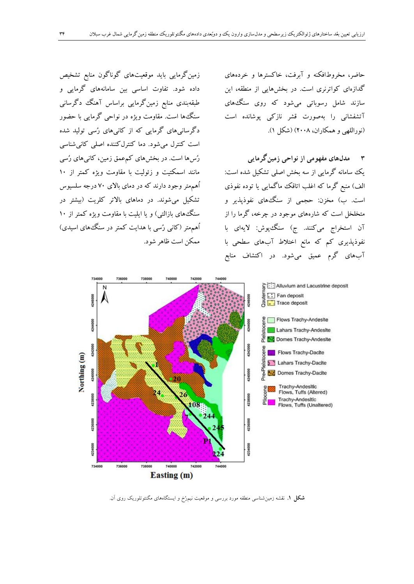حاضر، مخروطافکنه و آبرفت، خاکسترها و خردههای گدازهای کواترنری است. در بخشهايی از منطقه، اين سازند شامل رسوباتی میشود که روی سنگهای آتشفشانی را بهصورت قشر نازکی پوشانده است )نوراللهی و همکاران، 3119( )شکل 3(.

1 **مدلهایمفهومیازنواحیزمینگرمایی** يك سامانه گرمايی از سه بخش اصلی تشکيل شده است: الف) منبع گرما که اغلب اتاقک ماگمايی يا توده نفوذی است. ب) مخزن: حجمی از سنگههای نفوذپذیر و متخلخل است که شارههای موجود در چرخه، گرما را از آن استخراج میکنند. ج) سنگ پوش: لایهای با نفوذپذيری کم که مانع اختلاط آبهای سطحی با آبهای گرم عميق میشود. در اکتشاف مناب

736000 738000 Alluvium and Lacustrine deposit be :: Fan deposit<br>Berne deposit 1246000 Flows Trachy-Andesite 4244000 4244000 Lahars Trachy-Andesite Domes Trachy-Andesite 4242000 4242000 Flows Trachy-Dacite Northing (m) **b** Lahars Trachy-Dacite Domes Trachy-Dacite 4240000 4240000 Trachy-Andesitic<br>Flows, Tuffs (Altered) 4238000 4238000 Trachy-Andesitic<br>Flows, Tuffs (Unaltered) 108: 4236000 4236000 4234000 4234000 740000 742000 736000 738000 744000 734000 Easting (m)

**شكل .1** نقشه زمینشناسی منطقه مورد بررسی و موقعیت نیمرُخ و ایستگاههای مگنتوتلوریک روی آن.

زمينگرمايی بايد موقعيتهای گوناگون منابع تشخيص داده شود. تفاوت اساسی بين سامانههای گرمايی و طبقهبندی منابع زمینگرمایی براساس آهنگ دگرسانی سنگها است. مقاومت ويژه در نواحی گرمايی با حضور دگرسانیهای گرمايی که از کانیهای رُسی توليد شده است کنترل میشود. دما کنترلکننده اصلی کانیشناسی رُسها است. در بخشهای کمعمق زمين، کانیهای رُسی مانند اسمکتيت و زئوليت با مقاومت ويژه کمتر از 31 اُهممتر وجود دارند که در دمای باتی 91 درجه سلسيوس تشکيل میشوند. در دماهای باتتر کلريت )بيشتر در سنگ های بازالتی) و يا ايليت با مقاومت ويژه کمتر از ١٠ اُهممتر )کانی رُسی با هدايت کمتر در سنگهای اسيدی( ممکن است ظاهر شود.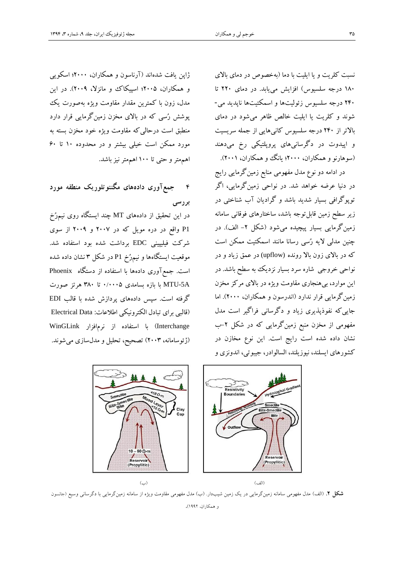نسبت کلريت و يا ايليت با دما )بهخصوص در دمای باتی 391 درجه سلسيوس( افزايش میيابد. در دمای 331 تا 391 درجه سلسيوس زئوليتها و اسمکتيتها ناپديد می- شوند و کلريت يا ايليت خالص ظاهر میشود در دمای باتتر از 391 درجه سلسيوس کانیهايی از جمله سريسيت و اپيدوت در دگرسانیهای پروپلتيکی رخ میدهند (سوهارنو و همکاران، ۲۰۰۰؛ يانگ وو همکاران، ۲۰۰۱).

در ادامه دو نوع مدل مفهومی منابع زمین گرمایی رایج در دنيا عرضه خواهد شد. در نواحی زمينگرمايی، اگر توپوگرافی بسيار شديد باشد و گراديان آب شناختی در زير سطح زمين قابل توجه باشد، ساختارهای فوقانی سامانه زمينگرمايی بسيار پيچيده میشود (شکل ۲- الف). در چنين مدلی تيه رُسی رسانا مانند اسمکتيت ممکن است که در بالای زون بالا رونده (upflow) در عمق زياد و در نواحی خروجی شاره سرد بسيار نزديك به سطح باشد. در اين موارد، بیهنجاری مقاومت ويژه در باتی مرکز مخزن زمينگرمايي قرار ندارد (اندرسون و همکاران، ٢٠٠٠). اما جايیکه نفوذپذيری زياد و دگرسانی فراگير است مدل مفهومی از مخزن منبع زمينگرمايی که در شکل ۲–ب نشان داده شده است رايج است. اين نوع مخازن در کشورهای ايسلند، نيوزيلند، السالوادر، جيبوتی، اندونزی و

ژاپن يافت شدهاند )آرناسون و همکاران، 3111؛ اسکويی و همکاران، ۲۰۰۵؛ اسپيکاک و مانزلا، ۲۰۰۹). در اين مدل، زون با کمترين مقدار مقاومت ويژه بهصورت يك پوشش رُسی که در باتی مخزن زمينگرمايی قرار دارد منطبق است درحالیکه مقاومت ويژه خود مخزن بسته به مورد ممکن است خيلی بيشتر و در محدوده 31 تا 11 اهممتر و حتی تا 311 اهممتر نيز باشد.

9 **جمعآوری دادههای مگنتوتلوریک منطقه مورد بررسی**

در اين تحقيق از دادههای MT چند ايستگاه روی نيمرُخ P1 واقع در دره مويل که در ۲۰۰۷ و ۲۰۰۹ از سوی شرکت فيليپينی EDC برداشت شده بود استفاده شد. موقعيت ايستگاهها و نيمرُخ 1P در شکل 1 نشان داده شده است. جم آوری دادهها با استفاده از دستگاه Phoenix A-5MTU با بازه بسامدی 1/1119 تا 191 هرتز صورت گرفته است. سپس دادههای پردازش شده با قالب EDI )قالبی برای تبادل الکترونيکی اطالعات: Data Electrical Interchange )با استفاده از نرمافزار WinGLink )ژئوسامانه، 3111( تصحيح، تحليل و مدلسازی میشوند.



**شكل ۲**. (الف) مدل مفهومی سامانه زمینگرمایی در یک زمین شیبدار. (ب) مدل مفهومی مقاومت ویژه از سامانه زمینگرمایی با دگرسانی وسیع (جانسون و همکاران، 2991(.

)الف( )ب(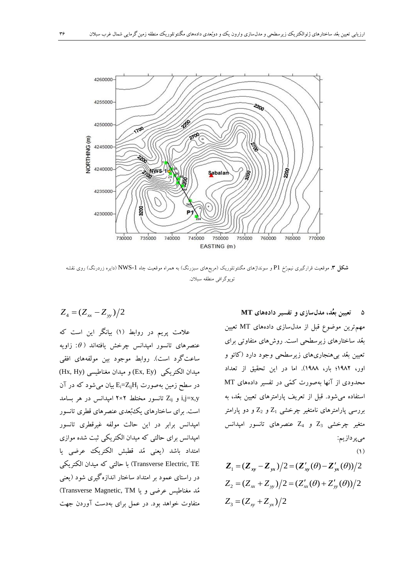

**شكل .3** موقعیت قرارگیری نیمرُخ 1P و سونداژهای مگنتوتلوریک )مربعهای سبزرنگ( به همراه موقعیت چاه -1NWS( دایره زردرنگ( روی نقشه توپوگرافی منطقه سبالن.

علامت پريم در روابط (۱) بيانگر اين است که  $Z_4 = (Z_{xx} - Z_{yy})/2$ 

عنصرهای تانسور امپدانس چرخش یافتهاند (  $\theta$ : زاویه ساعتگرد است(. روابط موجود بين مولفههای افقی ميدان الکتريکی (Ey ,Ex (و ميدان مغناطيسی (Hy ,Hx( در سطح زمين بهصورت  $E_i = Z_{ij}$ بيان می شود که در آن  $Z_{ij}$  و Z<sub>ij</sub> تانسور مختلط ۲×۲ امیدانس در هر بسامد است. برای ساختارهای يكبُعدی عنصرهای قطری تانسور امپدانس برابر در اين حالت مولفه غيرقطری تانسور امپدانس برای حالتی که ميدان الکتريکی ثبت شده موازی امتداد باشد )يعنی مُد قطبش الکتريك عرضی يا TE ,Electric Transverse )با حالتی که ميدان الکتريکی در راستای عمود بر امتداد ساختار اندازهگيری شود )يعنی مُد مغناطيس عرضي و يا Transverse Magnetic, TM) متفاوت خواهد بود. در عمل برای بهدست آوردن جهت

9 **تعیینبعُد،مدلسازیوتفسیردادههایMT** مهمترين موضوع قبل از مدلسازی دادههای MT تعيين بعُد ساختارهای زيرسطحی است. روشهای متفاوتی برای تعيين بعُد بیهنجاریهای زيرسطحی وجود دارد )کائو و اور، 3993؛ بار، 3999(. اما در اين تحقيق از تعداد محدودی از آنها بهصورت کمّی در تفسير دادههای MT استفاده میشود. قبل از تعريف پارامترهای تعيين بعُد، به بررسی پارامترهای نامتغیر چرخشی  $Z_1$  و  $Z_2$  و دو پارامتر متغير چرخشی  $Z_3$  و  $Z_4$  عنصرهای تانسور امپدانس میپردازيم:  $(1)$  $Z_1 = (Z_{xy} - Z_{yx})/2 = (Z'_{xy}(\theta) - Z'_{yx}(\theta))/2$  $Z_2 = (Z_{xx} + Z_{yy})/2 = (Z'_{xx}(\theta) + Z'_{yy}(\theta))/2$ 

 $Z_3 = (Z_{xy} + Z_{yx})/2$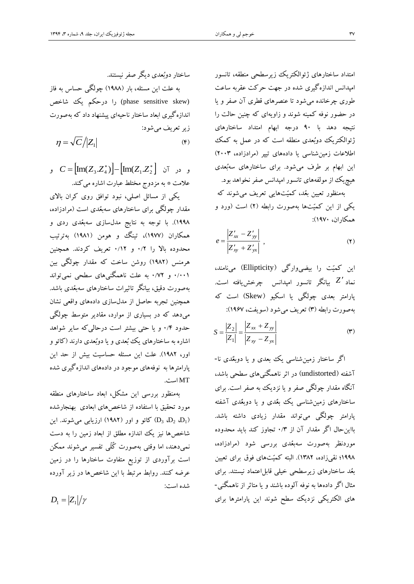امتداد ساختارهای ژئوالکتريك زيرسطحی منطقه، تانسور امپدانس اندازهگيری شده در جهت حرکت عقربه ساعت طوری چرخانده میشود تا عنصرهای قطری آن صفر و يا در حضور نوفه کمينه شوند و زاويهای که چنين حالت را نتيجه دهد با 91 درجه ابهام امتداد ساختارهای ژئوالکتريك دوبُعدی منطقه است که در عمل به کمك اطالعات زمينشناسی يا دادههای تيپر )مرادزاده، 3111( اين ابهام بر طرف میشود. برای ساختارهای سهبُعدی هيچيك از مولفههای تانسور امپدانس صفر نخواهد بود.

بهمنظور تعيين بعُد، کميّتهايی تعريف میشوند که يکی از اين کميّتها بهصورت رابطه (٢) است (ورد و همکاران، 3991(:

$$
e = \frac{\left| Z_{xx}^{\prime} - Z_{yy}^{\prime} \right|}{\left| Z_{xy}^{\prime} + Z_{yx}^{\prime} \right|} , \qquad (1)
$$

اين کميّت را بيضیوارگی )Ellipticity )مینامند، *Z* نماد بيانگر تانسور امپدانس چرخشيافته است. پارامتر بعدی چولگی يا اسکيو (Skew) است که بهصورت رابطه )1( تعريف میشود )سويفت، 3919(:

$$
S = \frac{|Z_2|}{|Z_1|} = \frac{|Z_{xx} + Z_{yy}|}{|Z_{xy} - Z_{yx}|}
$$
 (\*)

اگر ساختار زمينشناسی يك بعدی و يا دوبعٌدی نا- آشفته )undistorted )در اثر ناهمگنیهای سطحی باشد، آنگاه مقدار چولگی صفر و يا نزديك به صفر است. برای ساختارهای زمينشناسی يك بعٌدی و يا دوبعٌدی آشفته پارامتر چولگی میتواند مقدار زيادی داشته باشد. بااينحال اگر مقدار آن از 1/1 تجاوز کند بايد محدوده موردنظر بهصورت سهبعُدی بررسی شود )مرادزاده، ١٩٩٨؛ نقیزاده، ١٣٨٢). البته کميّتهای فوق برای تعيين بعُد ساختارهای زيرسطحی خيلی قابلاعتماد نيستند. برای مثال اگر دادهها به نوفه آلوده باشند و يا متاثر از ناهمگنی- های الکتريکی نزديك سطح شوند اين پارامترها برای

ساختار دوبُعدی ديگر صفر نيستند. به علت اين مسئله، بار )3999( چولگی حساس به فاز (phase sensitive skew) را درحکم يک شاخص اندازهگيری ابعاد ساختار ناحيهای پيشنهاد داد که بهصورت زير تعريف میشود:  $(\mathbf{f})$  $\eta = \sqrt{C}/|Z_1|$ 

و در آن  $\text{Im}(Z_1.Z_2^*)$  $\text{Im}(Z_1.Z_2^*)$  و عالمت \* به مزدوج مختلط عبارت اشاره میکند.

يکی از مسائل اصلی، نبود توافق روی کران باتی مقدار چولگی برای ساختارهای سهبعُدی است )مرادزاده، 3999(. با توجه به نتايج مدلسازی سهبعُدی ردی و همکاران )3999(، تينگ و هومن )3993( بهترتيب محدوده بات را 1/3 و 1/33 تعريف کردند. همچنين هرمنس )3993( روشن ساخت که مقدار چولگی بين 1/113 و 1/93 به علت ناهمگنیهای سطحی نمیتواند بهصورت دقيق، بيانگر تاثيرات ساختارهای سهبعُدی باشد. همچنين تجربه حاصل از مدلسازی دادههای واقعی نشان میدهد که در بسياری از موارد، مقادير متوسط چولگی حدود 1/9 و يا حتی بيشتر است درحالیکه ساير شواهد اشاره به ساختارهای يك بُعدی و يا دوبُعدی دارند )کائو و اور، 3993(. علت اين مسئله حساسيت بيش از حد اين پارامترها به نوفههای موجود در دادههای اندازهگيری شده MT است.

بهمنظور بررسی اين مشکل، ابعاد ساختارهای منطقه مورد تحقيق با استفاده از شاخصهای ابعادی بهنجارشده کائو و اور (١٩٨٢) ارزيابی میشوند. اين (D3 ، $D_2$  ،D) شاخصها نيز يك اندازه مطلق از ابعاد زمين را به دست نمیدهند، اما وقتی بهصورت کُلّی تفسير میشوند ممکن است برآوردی از توزي متفاوت ساختارها را در زمين عرضه کنند. روابط مرتبط با اين شاخصها در زير آورده شده است:

 $D_1 = |Z_1|/\gamma$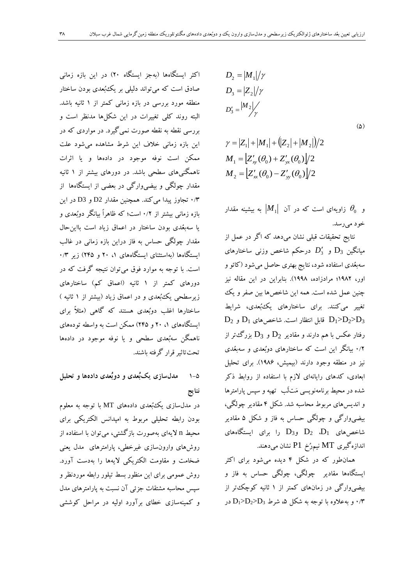اکثر ايستگاهها )بهجز ايستگاه 31( در اين بازه زمانی صادق است که می تواند دليلی بر يک بُعدی بودن ساختار منطقه مورد بررسی در بازه زمانی کمتر از 3 ثانيه باشد. البته روند کلی تغييرات در اين شکلها مدنظر است و بررسی نقطه به نقطه صورت نمیگيرد. در مواردی که در اين بازه زمانی خالف اين شرط مشاهده میشود علت ممکن است نوفه موجود در دادهها و يا اثرات ناهمگنیهای سطحی باشد. در دورهای بيشتر از 3 ثانيه مقدار چولگی و بيضیوارگی در بعضی از ايستگاهها از 1/1 تجاوز پيدا میکند. همچنين مقدار 2D و 3D در اين بازه زمانی بيشتر از 1/3 است؛ که ظاهراً بيانگر دوبُعدی و يا سهبعُدی بودن ساختار در اعماق زياد است بااين حال مقدار چولگی حساس به فاز دراين بازه زمانی در غالب ايستگاهها (بهاستثنای ايستگاههای ۱، ۲۰ و ۲۴۵) زير ۱/۳ است. با توجه به موارد فو میتوان نتيجه گرفت که در دورهای کمتر از ۱ ثانيه (اعماق کم) ساختارهای زيرسطحی يك بُعدی و در اعماق زياد (بيشتر از ۱ ثانيه ) ساختارها اغلب دوبُعدی هستند که گاهی )مثالً برای ايستگاههای ،3 31 و 399( ممکن است به واسطه تودههای ناهمگن سهبُعدی سطحی و يا نوفه موجود در دادهها تحتتاثير قرار گرفته باشند.

3-9 **مدلسازییکبُعدی ودوبُعدیدادههاوتحلیل نتایج**

در مدلسازی يكبُعدی دادههای MT با توجه به معلوم بودن رابطه تحليلی مربوط به امپدانس الکتريکی برای محيط n تيهای بهصورت بازگشتی، میتوان با استفاده از روشهای وارونسازی غيرخطی، پارامترهای مدل يعنی ضخامت و مقاومت الکتريکی تيهها را بهدست آورد. روش عمومی برای اين منظور بسط تيلور رابطه موردنظر و سپس محاسبه مشتقات جزئی آن نسبت به پارامترهای مدل و کمينهسازی خطای برآورد اوليه در مراحل کوششی

$$
D_2 = |M_1|/\gamma
$$
  
\n
$$
D_3 = |Z_2|/\gamma
$$
  
\n
$$
D'_3 = \frac{|M_2|}{\gamma}
$$
  
\n
$$
\gamma = |Z_1| + |M_1| + (|Z_2| + |M_2|)/2
$$
  
\n
$$
M_1 = |Z'_{xy}(\theta_0) + Z'_{yx}(\theta_0)|/2
$$
  
\n
$$
M_2 = |Z'_{xx}(\theta_0) - Z'_{yy}(\theta_0)|/2
$$

و 0 زاويهای است که در آن *M*<sup>1</sup> به بيشينه مقدار خود میرسد.

نتايج تحقيقات قبلی نشان میدهد که اگر در عمل از ميانگين <sup>3</sup>D و *D*3 درحکم شاخص وزنی ساختارهای سهبعُدی استفاده شود، نتايج بهتری حاصل میشود )کائو و اور، 3993؛ مرادزاده، 3999(. بنابراين در اين مقاله نيز چنين عمل شده است. همه اين شاخصها بين صفر و يك تغيير میکنند. برای ساختارهای يكبُعدی، شرايط  $D_2$  قابل انتظار است. شاخصهای  $D_1$  و  $D_2$ D و  $D_3$ رفتار عکس با هم دارند و مقادیر  $\mathrm{D}_2$  و  $\mathrm{D}_3$  بزرگ $ذر از$ 1/3 بيانگر اين است که ساختارهای دوبُعدی و سهبعُدی نيز در منطقه وجود دارند )بيميش، 3991(. برای تحليل ابعادی، کدهای رايانهای تزم با استفاده از روابط ذکر شده در محيط برنامهنويسی مَتلَب تهيه و سپس پارامترها و انديسهای مربوط محاسبه شد. شکل 9 مقادير چولگی، بيضیوارگی و چولگی حساس به فاز و شکل 9 مقادير شاخصهای  $D_1$   $D_2$  و $D_3$  را برای ایستگاههای اندازهگيری MT نيمرُخ 1P نشان میدهند.

همانطور که در شکل 9 ديده میشود برای اکثر ايستگاهها مقادير چولگی، چولگی حساس به فاز و بيضیوارگی در زمانهای کمتر از 3 ثانيه کوچكتر از در D1>D2>D3 و به علاوه با توجه به شکل ۵، شرط  $\mathrm{D}_1$ >D2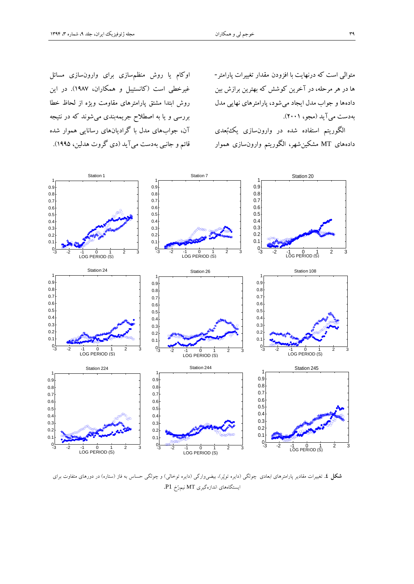متوالی است که درنهايت با افزودن مقدار تغييرات پارامتر- ها در هر مرحله، در آخرين کوشش که بهترين برازش بين دادهها و جواب مدل ايجاد میشود، پارامترهای نهايی مدل بهدست میآيد )مجو، 3113(.

الگوريتم استفاده شده در وارونسازی يكبُعدی دادههای MT مشکينشهر، الگوريتم وارونسازی هموار

اوکام يا روش منظمسازی برای وارونسازی مسائل غيرخطی است )کانستيبل و همکاران، 3999(. در اين روش ابتدا مشتق پارامترهای مقاومت ويژه از لحاظ خطا بررسی و يا به اصطالح جريمهبندی میشوند که در نتيجه آن، جوابهای مدل با گراديانهای رسانايی هموار شده قائم و جانبی بهدست میآيد )دی گروت هدلين، 3999(.



**شكل ٤.** تغییرات مقادیر پارامترهای ابعادی چولگی (دایره توپُر)، بیضیوارگی (دایره توخالی) و چولگی حساس به فاز (ستاره) در دورهای متفاوت برای ایستگاههای اندازهگیری MT نیمرُخ 1P.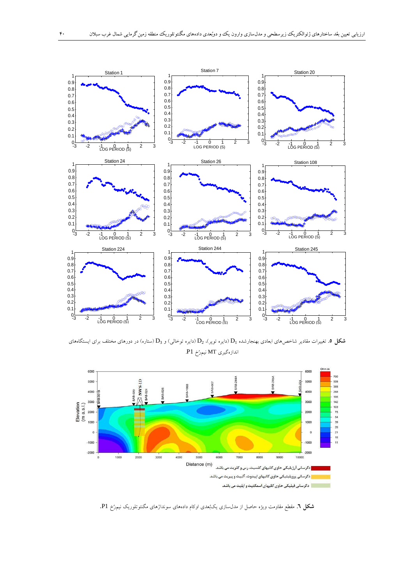

**شكل 0**. تغییرات مقادیر شاخصهای ابعادی بهنجارشده  $D_1$  (دایره توپر)،  $D_2$  (دایره توخالی) و  $D_3$  (ستاره) در دورهای مختلف برای ایستگاههای اندازهگیری MT نیمرُخ 1P.



**شكل .6** مقطع مقاومت ویژه حاصل از مدلسازی یکبُعدی اوکام دادههای سونداژهای مگنتوتلوریک نیمرُخ 1P.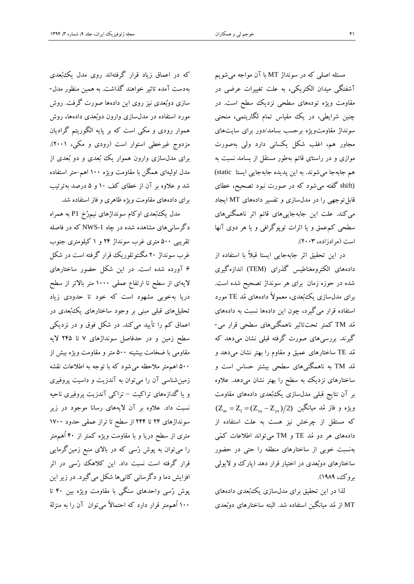مسئله اصلی که در سونداژ MT با آن مواجه میشويم آشفتگی ميدان الکتريکی، به علت تغييرات عرضی در مقاومت ويژه تودههای سطحی نزديك سطح است. در چنين شرايطی، در يك مقياس تمام لگاريتمی، منحنی سونداژ مقاومتويژه برحسب بسامد/دور برای سايتهای مجاور هم، اغلب شکل يکسانی دارد ولی بهصورت موازی و در راستای قائم بهطور مستقل از بسامد نسبت به هم جابهجا میشوند. به اين پديده جابهجايی ايستا static( (shift گفته میشود که در صورت نبود تصحيح، خطای قابلتوجهی را در مدلسازی و تفسير دادههای MT ايجاد میکند. علت اين جابهجايیهای قائم اثر ناهمگنیهای سطحی کمعمق و يا اثرات توپوگرافی و يا هر دوی آنها است )مرادزاده، 3111(.

در اين تحقيق اثر جابهجايی ايستا قبالً با استفاده از دادههای الکترومغناطيس گذرای (TEM (اندازهگيری شده در حوزه زمان برای هر سونداژ تصحيح شده است. برای مدلسازی يكبُعدی، معموتً دادههای مُد TE مورد استفاده قرار میگيرد، چون اين دادهها نسبت به دادههای مُد TM کمتر تحتتاثير ناهمگنیهای سطحی قرار می- گيرند. بررسیهای صورت گرفته قبلی نشان میدهد که مُد TE ساختارهای عميق و مقاوم را بهتر نشان میدهد و مُد TM به ناهمگنیهای سطحی بيشتر حساس است و ساختارهای نزديك به سطح را بهتر نشان میدهد. عالوه بر آن نتايج قبلی مدلسازی يكبُعدی دادههای مقاومت  $(\rm Z_{\rm av} = \rm Z_{\rm I} = (\rm Z_{\rm xy} - \rm Z_{\rm yx})/2)$  ویژه و فاز مُد میانگین که مستقل از چرخش نيز هست به علت استفاده از دادههای هر دو مُد TE و TM میتواند اطالعات کمّی بهنسبت خوبی از ساختارهای منطقه را حتی در حضور ساختارهای دوبُعدی در اختيار قرار دهد (پارک و لايولی بروک، 3999(.

لذا در اين تحقيق برای مدلسازی يكبُعدی دادههای MT از مُد ميانگين استفاده شد. البته ساختارهای دوبُعدی

که در اعماق زياد قرار گرفتهاند روی مدل يکءُبُعدی بهدست آمده تاثير خواهند گذاشت. به همين منظور مدل- سازی دوبُعدی نيز روی اين دادهها صورت گرفت. روش مورد استفاده در مدلسازی وارون دوبُعدی دادهها، روش هموار رودی و مکی است که بر پايه الگوريتم گراديان مزدوج غيرخطی استوار است )رودی و مکی، 3113(. برای مدلسازی وارون هموار يك بُعدی و دو بُعدی از مدل اوليهای همگن با مقاومت ويژه 311 اهم-متر استفاده شد و عالوه بر آن از خطای کف 31 و 9 درصد بهترتيب برای دادههای مقاومت ويژه ظاهری و فاز استفاده شد.

مدل يكبُعدی اوکام سونداژهای نيمرُخ 1P به همراه دگرسانیهای مشاهده شده در چاه -1NWS که در فاصله تقريبی 911 متری غرب سونداژ 39 و 3 کيلومتری جنوب غرب سونداژ 31 مگنتوتلوريك قرار گرفته است در شکل 1 آورده شده است. در اين شکل حضور ساختارهای تيهای از سطح تا ارتفاع عمقی 3111 متر باتتر از سطح دريا بهخوبی مشهود است که خود تا حدودی زياد تحليلهای قبلی مبنی بر وجود ساختارهای يكبُعدی در اعماق کم را تأييد میکند. در شکل فوق و در نزديکی سطح زمين و در حدفاصل سونداژهای 9 تا 399 تيه مقاومی با ضخامت بيشينه 911 متر و مقاومت ويژه بيش از 911 اهممتر مالحظه میشود که با توجه به اطالعات نقشه زمينشناسی آن را میتوان به آندزيت و داسيت پروفيری و يا گدازههای تراکيت – تراکی آندزيت پروفيری ناحيه نسبت داد. عالوه بر آن تيههای رسانا موجود در زير سونداژهای 39 تا 399 از سطح تا تراز عمقی حدود 3911 متری از سطح دريا و با مقاومت ويژه کمتر از 91 اُهممتر را میتوان به پوش رُسی که در بالای منبع زمینگرمایی قرار گرفته است نسبت داد. اين کالهك رُسی در اثر افزايش دما و دگرسانی کانیها شکل میگيرد. در زير اين پوش رُسی واحدهای سنگی با مقاومت ويژه بين 91 تا 311 اُهممتر قرار دارد که احتماتً میتوان آن را به منزلة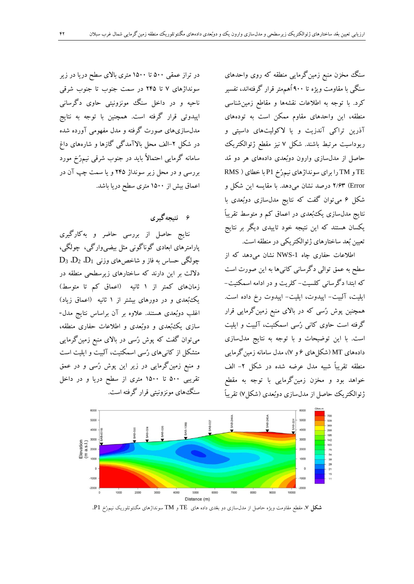سنگ مخزن منبع زمینگرمایی منطقه که روی واحدهای سنگی با مقاومت ويژه تا 911 اُهممتر قرار گرفتهاند، تفسير کرد. با توجه به اطلاعات نقشهها و مقاطع زمین شناسی منطقه، اين واحدهای مقاوم ممکن است به تودههای آذرين تراکی آندزيت و يا تکوليتهای داسيتی و ريوداسيت مرتبط باشند. شکل 9 نيز مقط ژئوالکتريك حاصل از مدلسازی وارون دوبُعدی دادههای هر دو مُد TE و TM را برای سونداژهای نيمرُخ 1P با خطای ) RMS Error )3/11 درصد نشان میدهد. با مقايسه اين شکل و شکل 1 میتوان گفت که نتايج مدلسازی دوبُعدی با نتايج مدل $بازی يك بُعدی در اعماق کم و متوسط تقريباً$ يکسان هستند که اين نتيجه خود تاييدی ديگر بر نتايج تعيين بُعد ساختارهای ژئوالکتريکی در منطقه است.

اطالعات حفاری چاه -1NWS نشان میدهد که از سطح به عمق توالی دگرسانی کانیها به اين صورت است که ابتدا دگرسانی کلسيت- کلريت و در ادامه اسمکتيت- ايليت، آلبيت- اپيدوت، ايليت- اپيدوت رخ داده است. همچنين پوش رُسی که در بالای منبع زمينگرمايی قرار گرفته است حاوی کانی رُسی اسمکتيت، آلبيت و ايليت است. با اين توضيحات و با توجه به نتايج مدلسازی دادههای MT (شکلهای ۶ و ۷)، مدل سامانه زمين گرمايی منطقه تقريباً شبيه مدل عرضه شده در شکل -3 الف خواهد بود و مخزن زمينگرمايی با توجه به مقط ژئوالکتريك حاصل از مدلسازی دوبُعدی )شکل9( تقريباً



## 1 **نتیجهگیری**

نتايج حاصل از بررسی حاضر و بهکارگيری پارامترهای ابعادی گوناگونی مثل بيضیوارگی، چولگی،  $D_3$  پیولگی حساس به فاز و شاخصهای وزنی  $D_1$ ،  $D_2$ دتلت بر اين دارند که ساختارهای زيرسطحی منطقه در زمانهای کمتر از ۱ ثانيه (اعماق کم تا متوسط) يك بُعدی و در دورهای بيشتر از ۱ ثانيه (اعماق زياد) اغلب دوبُعدی هستند. عالوه بر آن براساس نتايج مدل- سازی يكبُعدی و دوبُعدی و اطالعات حفاری منطقه، میتوان گفت که پوش رُسی در بالای منبع زمینگرمایی متشکل از کانیهای رُسی اسمکتيت، آلبيت و ايليت است و منبع زمينگرمايی در زير اين پوش رُسی و در عمق تقريبی 911 تا 3911 متری از سطح دريا و در داخل سنگهای مونزونيتی قرار گرفته است.



**شكل .7** مقطع مقاومت ویژه حاصل از مدلسازی دو بعُدی داده های TE و TM سونداژهای مگنتوتلوریک نیمرُخ 1P.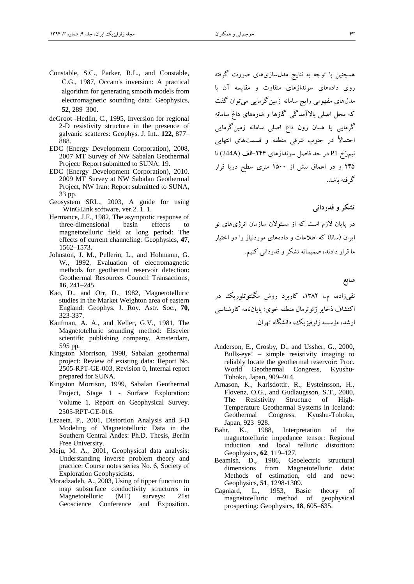- Constable, S.C., Parker, R.L., and Constable, C.G., 1987, Occam's inversion: A practical algorithm for generating smooth models from electromagnetic sounding data: Geophysics, **52**, 289–300.
- deGroot -Hedlin, C., 1995, Inversion for regional 2-D resistivity structure in the presence of galvanic scatteres: Geophys. J. Int., **122**, 877– 888.
- EDC (Energy Development Corporation), 2008, 2007 MT Survey of NW Sabalan Geothermal Project: Report submitted to SUNA, 19.
- EDC (Energy Development Corporation), 2010. 2009 MT Survey at NW Sabalan Geothermal Project, NW Iran: Report submitted to SUNA, 33 pp.
- Geosystem SRL., 2003, A guide for using WinGLink software, ver.2. 1. 1.
- Hermance, J.F., 1982, The asymptotic response of three-dimensional basin effects to magnetotelluric field at long period: The effects of current channeling: Geophysics, **47**, 1562–1573.
- Johnston, J. M., Pellerin, L., and Hohmann, G. W., 1992, Evaluation of electromagnetic methods for geothermal reservoir detection: Geothermal Resources Council Transactions, **16**, 241–245.
- Kao, D., and Orr, D., 1982, Magnetotelluric studies in the Market Weighton area of eastern England: Geophys. J. Roy. Astr. Soc., **70**, 323-337.
- Kaufman, A. A., and Keller, G.V., 1981, The Magnetotelluric sounding method: Elsevier scientific publishing company*,* Amsterdam*,*  595 pp*.*
- Kingston Morrison, 1998, Sabalan geothermal project: Review of existing data: Report No. 2505-RPT-GE-003, Revision 0, Internal report prepared for SUNA.
- Kingston Morrison, 1999, Sabalan Geothermal Project, Stage 1 - Surface Exploration: Volume 1, Report on Geophysical Survey. 2505-RPT-GE-016.
- Lezaeta, P., 2001, Distortion Analysis and 3-D Modeling of Magnetotelluric Data in the Southern Central Andes: Ph.D. Thesis*,* Berlin Free University.
- Meju, M. A., 2001, Geophysical data analysis: Understanding inverse problem theory and practice: Course notes series No. 6, Society of Exploration Geophysicists.
- Moradzadeh, A., 2003, Using of tipper function to map subsurface conductivity structures in Magnetotelluric (MT) surveys: 21st Geoscience Conference and Exposition.

همچنين با توجه به نتايج مدلسازیهای صورت گرفته روی دادههای سونداژهای متفاوت و مقايسه آن با مدلهای مفهومی رايج سامانه زمينگرمايی میتوان گفت که محل اصلی باتآمدگی گازها و شارههای داغ سامانه گرمايی يا همان زون داغ اصلی سامانه زمينگرمايی احتماتً در جنوب شرقی منطقه و قسمتهای انتهايی نيمرُخ 1P در حد فاصل سونداژهای -399الف (A244 (تا ٢۴۵ و در اعماق بيش از ١۵٠٠ متری سطح دريا قرار گرفته باشد.

**تشکروقدردانی**

در پايان تزم است که از مسئوتن سازمان انرژیهای نو ايران )سانا( که اطالعات و دادههای موردنياز را در اختيار ما قرار دادند، صميمانه تشکر و قدردانی کنيم.

**منابع**

نقیزاده، م،. ،3193 کاربرد روش مگنتوتلوريك در اکتشاف ذخاير ژئوترمال منطقه خوی: پاياننامه کارشناسی ارشد، مؤسسه ژئوفيزيك، دانشگاه تهران.

- Anderson, E., Crosby, D., and Ussher, G., 2000, Bulls-eye! – simple resistivity imaging to reliably locate the geothermal reservoir: Proc. World Geothermal Congress, Kyushu-Tohoku, Japan, 909–914.
- Arnason, K., Karlsdottir, R., Eysteinsson, H., Flovenz, O.G., and Gudlaugsson, S.T., 2000, The Resistivity Structure of High-Temperature Geothermal Systems in Iceland: Geothermal Congress, Kyushu-Tohoku, Japan, 923–928.
- Bahr, K., 1988, Interpretation of the magnetotelluric impedance tensor: Regional induction and local telluric distortion: Geophysics, **62**, 119–127.
- Beamish, D., 1986, Geoelectric structural dimensions from Magnetotelluric data: Methods of estimation, old and new: Geophysics, **51**, 1298-1309.
- Cagniard, L., 1953, Basic theory of magnetotelluric method of geophysical prospecting: Geophysics*,* **18**, 605–635.